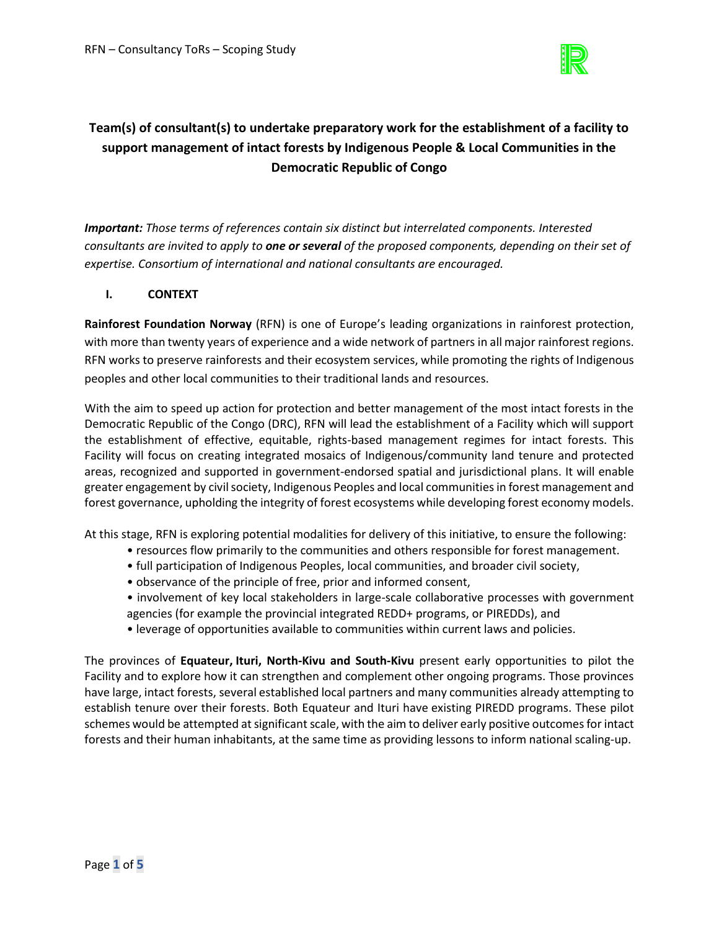

# **Team(s) of consultant(s) to undertake preparatory work for the establishment of a facility to support management of intact forests by Indigenous People & Local Communities in the Democratic Republic of Congo**

*Important: Those terms of references contain six distinct but interrelated components. Interested consultants are invited to apply to one or several of the proposed components, depending on their set of expertise. Consortium of international and national consultants are encouraged.* 

# **I. CONTEXT**

**Rainforest Foundation Norway** (RFN) is one of Europe's leading organizations in rainforest protection, with more than twenty years of experience and a wide network of partners in all major rainforest regions. RFN works to preserve rainforests and their ecosystem services, while promoting the rights of Indigenous peoples and other local communities to their traditional lands and resources.

With the aim to speed up action for protection and better management of the most intact forests in the Democratic Republic of the Congo (DRC), RFN will lead the establishment of a Facility which will support the establishment of effective, equitable, rights-based management regimes for intact forests. This Facility will focus on creating integrated mosaics of Indigenous/community land tenure and protected areas, recognized and supported in government-endorsed spatial and jurisdictional plans. It will enable greater engagement by civil society, Indigenous Peoples and local communities in forest management and forest governance, upholding the integrity of forest ecosystems while developing forest economy models.

At this stage, RFN is exploring potential modalities for delivery of this initiative, to ensure the following:

- resources flow primarily to the communities and others responsible for forest management.
- full participation of Indigenous Peoples, local communities, and broader civil society,
- observance of the principle of free, prior and informed consent,
- involvement of key local stakeholders in large-scale collaborative processes with government agencies (for example the provincial integrated REDD+ programs, or PIREDDs), and
- leverage of opportunities available to communities within current laws and policies.

The provinces of **Equateur, Ituri, North-Kivu and South-Kivu** present early opportunities to pilot the Facility and to explore how it can strengthen and complement other ongoing programs. Those provinces have large, intact forests, several established local partners and many communities already attempting to establish tenure over their forests. Both Equateur and Ituri have existing PIREDD programs. These pilot schemes would be attempted at significant scale, with the aim to deliver early positive outcomes for intact forests and their human inhabitants, at the same time as providing lessons to inform national scaling-up.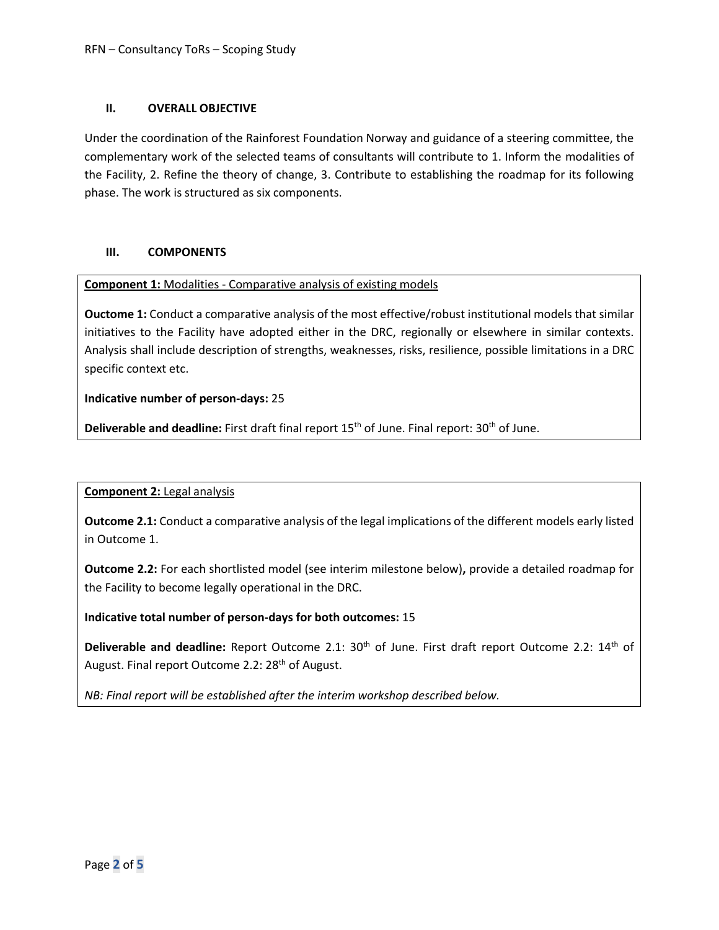# **II. OVERALL OBJECTIVE**

Under the coordination of the Rainforest Foundation Norway and guidance of a steering committee, the complementary work of the selected teams of consultants will contribute to 1. Inform the modalities of the Facility, 2. Refine the theory of change, 3. Contribute to establishing the roadmap for its following phase. The work is structured as six components.

# **III. COMPONENTS**

## **Component 1:** Modalities - Comparative analysis of existing models

**Ouctome 1:** Conduct a comparative analysis of the most effective/robust institutional models that similar initiatives to the Facility have adopted either in the DRC, regionally or elsewhere in similar contexts. Analysis shall include description of strengths, weaknesses, risks, resilience, possible limitations in a DRC specific context etc.

## **Indicative number of person-days:** 25

**Deliverable and deadline:** First draft final report 15<sup>th</sup> of June. Final report: 30<sup>th</sup> of June.

# **Component 2:** Legal analysis

**Outcome 2.1:** Conduct a comparative analysis of the legal implications of the different models early listed in Outcome 1.

**Outcome 2.2:** For each shortlisted model (see interim milestone below)**,** provide a detailed roadmap for the Facility to become legally operational in the DRC.

# **Indicative total number of person-days for both outcomes:** 15

Deliverable and deadline: Report Outcome 2.1: 30<sup>th</sup> of June. First draft report Outcome 2.2: 14<sup>th</sup> of August. Final report Outcome 2.2: 28<sup>th</sup> of August.

*NB: Final report will be established after the interim workshop described below.*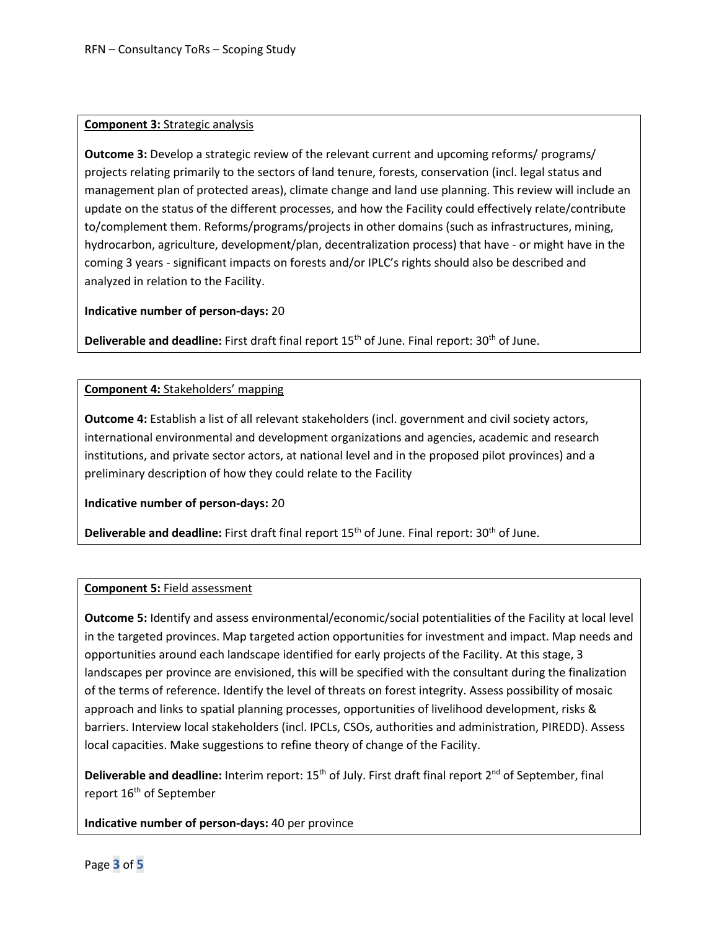#### **Component 3:** Strategic analysis

**Outcome 3:** Develop a strategic review of the relevant current and upcoming reforms/ programs/ projects relating primarily to the sectors of land tenure, forests, conservation (incl. legal status and management plan of protected areas), climate change and land use planning. This review will include an update on the status of the different processes, and how the Facility could effectively relate/contribute to/complement them. Reforms/programs/projects in other domains (such as infrastructures, mining, hydrocarbon, agriculture, development/plan, decentralization process) that have - or might have in the coming 3 years - significant impacts on forests and/or IPLC's rights should also be described and analyzed in relation to the Facility.

**Indicative number of person-days:** 20

Deliverable and deadline: First draft final report 15<sup>th</sup> of June. Final report: 30<sup>th</sup> of June.

#### **Component 4:** Stakeholders' mapping

**Outcome 4:** Establish a list of all relevant stakeholders (incl. government and civil society actors, international environmental and development organizations and agencies, academic and research institutions, and private sector actors, at national level and in the proposed pilot provinces) and a preliminary description of how they could relate to the Facility

**Indicative number of person-days:** 20

**Deliverable and deadline:** First draft final report 15<sup>th</sup> of June. Final report: 30<sup>th</sup> of June.

#### **Component 5:** Field assessment

**Outcome 5:** Identify and assess environmental/economic/social potentialities of the Facility at local level in the targeted provinces. Map targeted action opportunities for investment and impact. Map needs and opportunities around each landscape identified for early projects of the Facility. At this stage, 3 landscapes per province are envisioned, this will be specified with the consultant during the finalization of the terms of reference. Identify the level of threats on forest integrity. Assess possibility of mosaic approach and links to spatial planning processes, opportunities of livelihood development, risks & barriers. Interview local stakeholders (incl. IPCLs, CSOs, authorities and administration, PIREDD). Assess local capacities. Make suggestions to refine theory of change of the Facility.

**Deliverable and deadline:** Interim report: 15<sup>th</sup> of July. First draft final report 2<sup>nd</sup> of September, final report 16<sup>th</sup> of September

**Indicative number of person-days:** 40 per province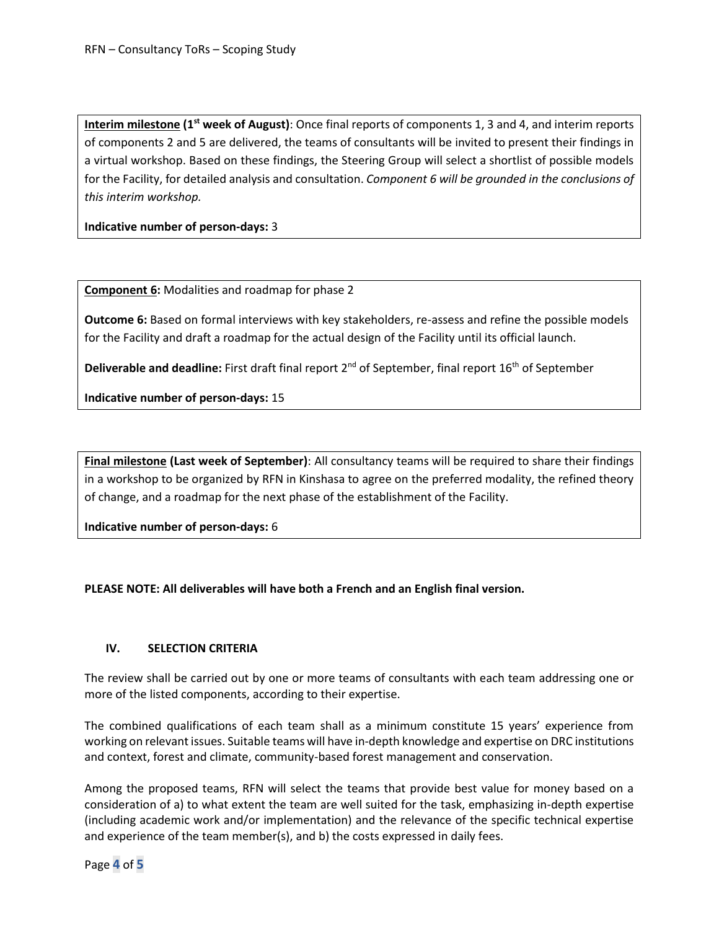**Interim milestone (1st week of August)**: Once final reports of components 1, 3 and 4, and interim reports of components 2 and 5 are delivered, the teams of consultants will be invited to present their findings in a virtual workshop. Based on these findings, the Steering Group will select a shortlist of possible models for the Facility, for detailed analysis and consultation. *Component 6 will be grounded in the conclusions of this interim workshop.*

**Indicative number of person-days:** 3

**Component 6:** Modalities and roadmap for phase 2

**Outcome 6:** Based on formal interviews with key stakeholders, re-assess and refine the possible models for the Facility and draft a roadmap for the actual design of the Facility until its official launch.

**Deliverable and deadline:** First draft final report 2<sup>nd</sup> of September, final report 16<sup>th</sup> of September

**Indicative number of person-days:** 15

**Final milestone (Last week of September)**: All consultancy teams will be required to share their findings in a workshop to be organized by RFN in Kinshasa to agree on the preferred modality, the refined theory of change, and a roadmap for the next phase of the establishment of the Facility.

**Indicative number of person-days:** 6

### **PLEASE NOTE: All deliverables will have both a French and an English final version.**

### **IV. SELECTION CRITERIA**

The review shall be carried out by one or more teams of consultants with each team addressing one or more of the listed components, according to their expertise.

The combined qualifications of each team shall as a minimum constitute 15 years' experience from working on relevant issues. Suitable teams will have in-depth knowledge and expertise on DRC institutions and context, forest and climate, community-based forest management and conservation.

Among the proposed teams, RFN will select the teams that provide best value for money based on a consideration of a) to what extent the team are well suited for the task, emphasizing in-depth expertise (including academic work and/or implementation) and the relevance of the specific technical expertise and experience of the team member(s), and b) the costs expressed in daily fees.